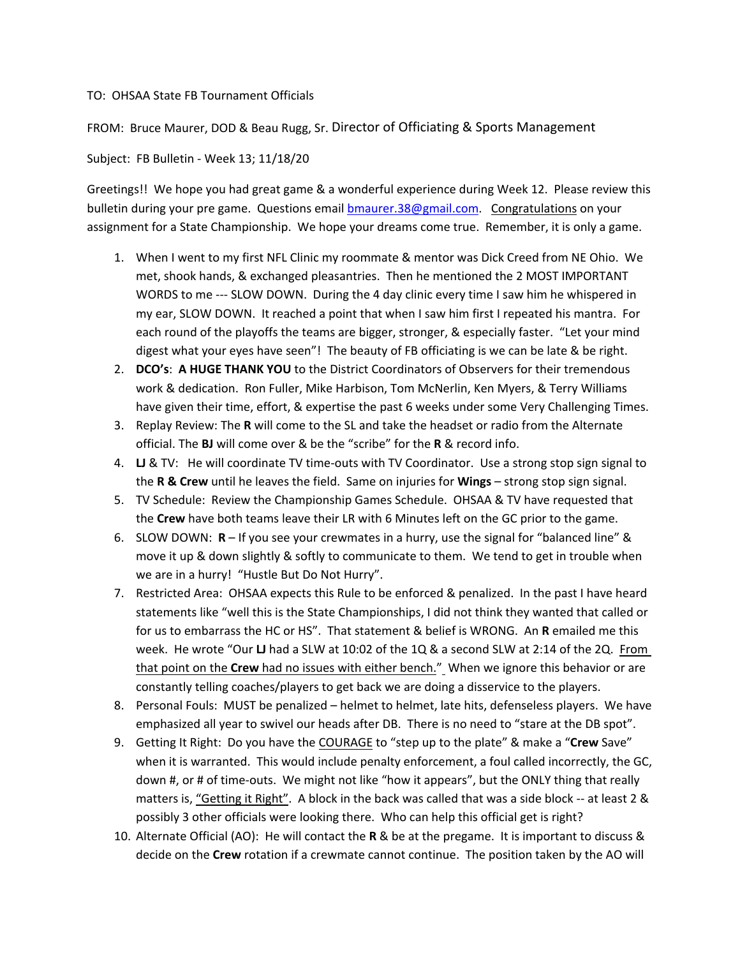## TO: OHSAA State FB Tournament Officials

## FROM: Bruce Maurer, DOD & Beau Rugg, Sr. Director of Officiating & Sports Management

## Subject: FB Bulletin - Week 13; 11/18/20

Greetings!! We hope you had great game & a wonderful experience during Week 12. Please review this bulletin during your pre game. Questions email [bmaurer.38@gmail.com](mailto:bmaurer.38@gmail.com). Congratulations on your assignment for a State Championship. We hope your dreams come true. Remember, it is only a game.

- 1. When I went to my first NFL Clinic my roommate & mentor was Dick Creed from NE Ohio. We met, shook hands, & exchanged pleasantries. Then he mentioned the 2 MOST IMPORTANT WORDS to me --- SLOW DOWN. During the 4 day clinic every time I saw him he whispered in my ear, SLOW DOWN. It reached a point that when I saw him first I repeated his mantra. For each round of the playoffs the teams are bigger, stronger, & especially faster. "Let your mind digest what your eyes have seen"! The beauty of FB officiating is we can be late & be right.
- 2. **DCO's**: **A HUGE THANK YOU** to the District Coordinators of Observers for their tremendous work & dedication. Ron Fuller, Mike Harbison, Tom McNerlin, Ken Myers, & Terry Williams have given their time, effort, & expertise the past 6 weeks under some Very Challenging Times.
- 3. Replay Review: The **R** will come to the SL and take the headset or radio from the Alternate official. The **BJ** will come over & be the "scribe" for the **R** & record info.
- 4. **LJ** & TV: He will coordinate TV time-outs with TV Coordinator. Use a strong stop sign signal to the **R & Crew** until he leaves the field. Same on injuries for **Wings** – strong stop sign signal.
- 5. TV Schedule: Review the Championship Games Schedule. OHSAA & TV have requested that the **Crew** have both teams leave their LR with 6 Minutes left on the GC prior to the game.
- 6. SLOW DOWN: **R** If you see your crewmates in a hurry, use the signal for "balanced line" & move it up & down slightly & softly to communicate to them. We tend to get in trouble when we are in a hurry! "Hustle But Do Not Hurry".
- 7. Restricted Area: OHSAA expects this Rule to be enforced & penalized. In the past I have heard statements like "well this is the State Championships, I did not think they wanted that called or for us to embarrass the HC or HS". That statement & belief is WRONG. An **R** emailed me this week. He wrote "Our **LJ** had a SLW at 10:02 of the 1Q & a second SLW at 2:14 of the 2Q. From that point on the **Crew** had no issues with either bench." When we ignore this behavior or are constantly telling coaches/players to get back we are doing a disservice to the players.
- 8. Personal Fouls: MUST be penalized helmet to helmet, late hits, defenseless players. We have emphasized all year to swivel our heads after DB. There is no need to "stare at the DB spot".
- 9. Getting It Right: Do you have the COURAGE to "step up to the plate" & make a "**Crew** Save" when it is warranted. This would include penalty enforcement, a foul called incorrectly, the GC, down #, or # of time-outs. We might not like "how it appears", but the ONLY thing that really matters is, "Getting it Right". A block in the back was called that was a side block -- at least 2 & possibly 3 other officials were looking there. Who can help this official get is right?
- 10. Alternate Official (AO): He will contact the **R** & be at the pregame. It is important to discuss & decide on the **Crew** rotation if a crewmate cannot continue. The position taken by the AO will